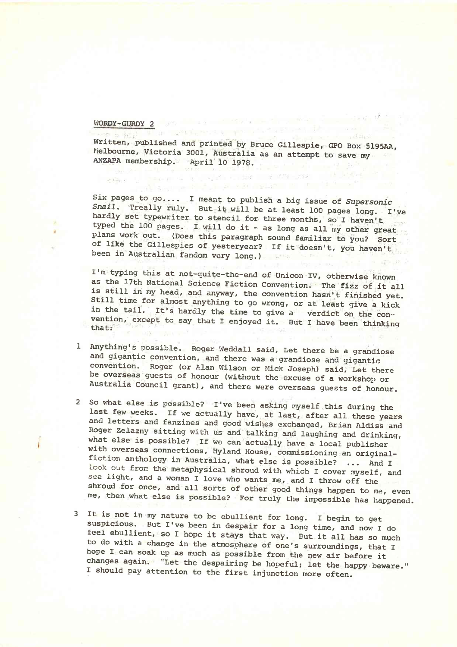## WORDY-GURDY 2

 $\mathcal{L}$  Alley,  $\mathcal{L}$ 

Figurant Sales D

Written, published and printed by Bruce Gillespie, GPO Box 5195AA Melbourne, Victoria 3001, Australia as an attempt to save my ANZAPA membership. April 10 1978.

 $-57.0$ 

allaparroad and problems and

Six pages to go.... I meant to publish a big issue of *Supersonic Snail,* Treally ruly. But it will be at least 100 pages long. I've hardly set typewriter to stencil for three months, so I haven't typed the 100 pages. I will do it - as long as all my other great plans work out. (Does this paragraph sound familiar to you? Sort of like the Gillespies of yesteryear? If it doesn't, you haven't been in Australian fandom very long.)

I'm typing this at not-quite-the-end of Unicon IV, otherwise known as the 17th National Science Fiction Convention. The fizz of it all is still in my head, and anyway, the convention hasn't finished yet. stlll time for almost anything to go wrong, or at least give a kick in the tail. It's hardly the time to give a verdict on the convention, except to say that I enjoyed it. But I have been thinking that:

- 1 Anything's possible. Roger Weddall said, Let there be a grandiose and gigantic convention, and there was a grandiose and gigantic convention. Roger (or Alan Wilson or Mick Joseph) said. Let there be overseas guests of honour (without the excuse of a workshop or Australia Council grant), and there were overseas guests of honour.
- 2 So what else is possible? I've been asking myself this during the last few weeks. If we actually have, at last, after all these years and letters and fanzines and good wishes exchanged, Brian Aldiss and Roger Zelazny sitting with us and talking and laughing and drinking, what else is possible? If we can actually have a local publisher with overseas connections, Hyland House, commissioning an originalfiction anthology in Australia, what else is possible? ... And I look out from the metaphysical shroud with which I cover myself, and see light, and a woman I love who wants me, and I throw off the shroud for once, and all sorts of other good things happen to me, even me, then what else is possible? For truly the impossible has happened.
- 3 It is not in my nature to be ebullient for long. I begin to get suspicious. But I've been in despair for a long time, and now I do feel ebullient, so I hope it stays that way. But it all has so much to do with a change in the atmosphere of one's surroundings, that I hope I can soak up as much as possible from the new air before it changes again. 'Let the despairing be hopeful; let the happy beware." I should pay attention to the first injunction more often.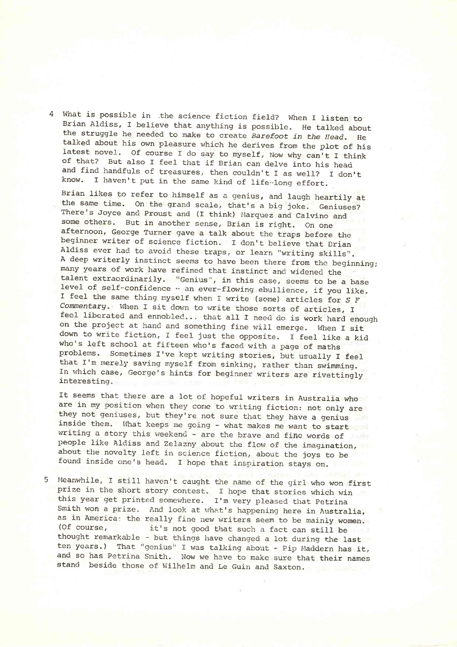4 What is possible in .the science fiction field? When I listen to Brian Aldiss, I believe that anything is possible. He talked about the struggle he needed to make to create *Barefoot in the Head.* He talked about his own pleasure which he derives from the plot of his latest novel. Of course I do say to myself, Now why can't I think of that? But also I feel that if Brian can delve into his head and find handfuls of treasures, then couldn't I as well? I don't know. I haven't put in the same kind of life-long effort.

Brian likes to refer to himself as a genius, and laugh heartily at the same time. On the grand scale, that's a big joke. Geniuses? There's Joyce and Proust and (I think) Marquez and Calvino and some others. But in another sense, Brian is right. On one afternoon, George Turner gave a talk about the traps before the beginner writer of science fiction. I don't believe that Brian Aldiss ever had to avoid these traps, or learn "writing skills". A deep writerly instinct seems to have been there from the beginning; many years of work have refined that instinct and widened the talent extraordinarily. "Genius", in this case, seems to be a base level of self-confidence  $\cdot$  an ever-flowing ebullience, if you like. I feel the same thing myself when I write (some) articles for *S F Commentary.* When I sit down to write those sorts of articles, I feel liberated and ennobled... that all I need do is work hard enough on the project at hand and something fine will emerge. When I sit down to write fiction, I feel just the opposite. I feel like a kid who's left school at fifteen who's faced with a page of maths problems. Sometimes I've kept writing stories, but usually I feel that I'm merely saving myself from sinking, rather than swimming. In which case, George's hints for beginner writers are rivettingly interesting.

It seems that there are a lot of hopeful writers in Australia who are in my position when they come to writing fiction: not only are they not geniuses, but they're not sure that they have a genius inside them. What keeps me going - what makes me want to start writing a story this weekend - are the brave and fine words of people like Aldiss and Zelazny about the flow of the imagination, about the novelty left in science fiction, about the joys to be found inside one's head. I hope that inspiration stays on.

5 Meanwhile, I still haven't caught the name of the girl who won first prize in the short story contest. I hope that stories which win this year get printed somewhere. I'm very pleased that Petrina Smith won a prize. And look at what's happening here in Australia, as in America: the really fine new writers seem to be mainly women.<br>(Of course, it's not good that such a fact can still be it's not good that such a fact can still be thought remarkable - but things have changed a lot during the last ten years.) That "genius" I was talking about - Pip Maddern has it, and so has Petrina Smith. Now we have to make sure that their names stand beside those of Wilhelm and Le Guin and Saxton.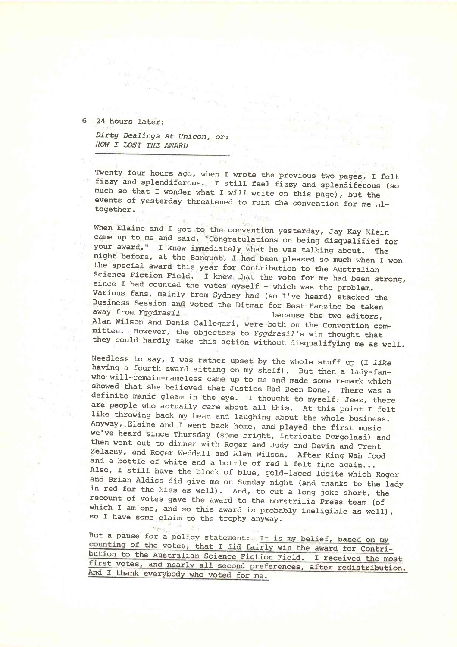6 24 hours later:

*Dirty Dealings At Unicon<sup>f</sup> or: HOW I LOST THE AWARD*

 $701.$ 

Twenty four hours ago, when I wrote the previous two pages, I felt fizzy and splendiferous. 1 still feel fizzy and splendiferous (so much so that I wonder what I *will* write on this page), but the events of yesterday threatened to ruin the convention for me altogether.

When Elaine and I got to the convention yesterday, Jay Kay Klein came up to me and said, 'Congratulations on being disqualified for your award." I knew immediately, what he was talking about. The night before, at the Banquet, I had been pleased so much when I won the special award this year for Contribution to the Australian Science Fiction Field. I knew that the vote for me had been strong, since I had counted the votes myself - which was the problem. Various fans, mainly from Sydney had (so I've heard) stacked the Business Session and voted the Ditmar for Best Fanzine be taken away from *Yggdrasil* because the two editors, Alan Wilson and Denis Callegari, were both on the Convention committee. However, the objectors to *Yggdrasil'*s win thought that they could hardly take this action without disqualifying me as well.

Needless to say, I was rather upset by the whole stuff up (I *like* having a fourth award sitting on my shelf). But then a lady-fanwho-will-remain-nameless came up to me and made some remark which showed that she believed that Justice Had Been Done. There was a definite manic gleam in the eye. I thought to myself: Jeez, there are people who actually *care* about all this. At this point I felt like throwing back my head and laughing about the whole business. Anyway, Elaine and I went back home, and played the first music we've heard since Thursday (some bright, intricate Pergolasi) and then went out to dinner with Roger and Judy and Devin and Trent Zelazny, and Roger Weddall and Alan Wilson. After King Wah food and a bottle of white and a bottle of red I felt fine again... Also, I still have the block of blue, gold-laced lucite which Roger and Brian Aldiss did give me on Sunday night (and thanks to the lady in red for the kiss as well). And, to cut a long joke short, the recount of votes gave the award to the Norstrilia Press team (of which I am one, and so this award is probably ineligible as well), so I have some claim to the trophy anyway.

But a pause for a policy statement: It is my belief, based on my counting of the votes, that I did fairly win the award for Contribution to the Australian Science Fiction Field. <sup>I</sup> received the most first votes, and nearly all second preferences, after redistribution. And <sup>I</sup> thank everybody who voted for me.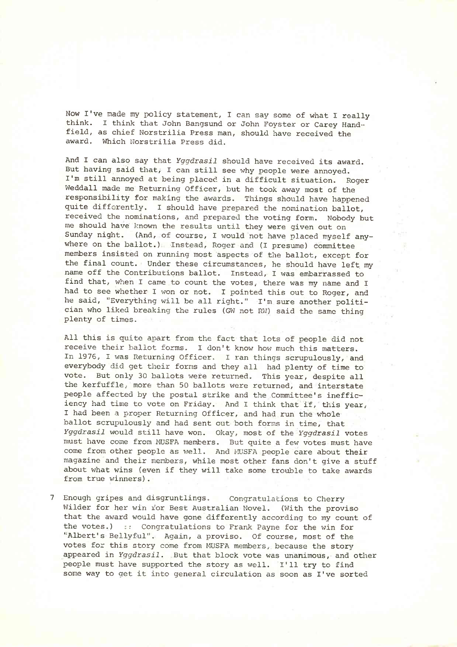Now I've made my policy statement, I can say some of what I really think. I think that John Bangsund or John Foyster or Carey Handfield, as chief Norstrilia Press man, should have received the award. Which Norstrilia Press did.

And I can also say that *Yggdrasil* should have received its award. But having said that, I can still see why people were annoyed. I'm still annoyed at being placed in a difficult situation. Roger Weddall made me Returning Officer, but he took away most of the responsibility for making the awards. Things should have happened quite differently. I should have prepared the nomination ballot, received the nominations, and prepared the voting form. Nobody but me should have known the results until they were given out on Sunday night. (And, of course, I would not have placed myself anywhere on the ballot.) Instead, Roger and (I presume) committee members insisted on running most aspects of the ballot, except for the final count. Under these circumstances, he should have left my name off the Contributions ballot. Instead, I was embarrassed to find that, when I came to count the votes, there was my name and I had to see whether I won or not. I pointed this out to Roger, and he said, "Everything will be all right." I'm sure another politician who liked breaking the rules (GW not RW) said the same thing plenty of times.

All this is quite apart from the fact that lots of people did not receive their ballot forms. I don't know how much this matters. In 1976, I was Returning Officer. I ran things scrupulously, and everybody did get their forms and they all had plenty of time to vote. But only 30 ballots were returned. This year, despite all the kerfuffle, more than 50 ballots were returned, and interstate people affected by the postal strike and the Committee's inefficiency had time to vote on Friday. And I think that if, this year, I had been a proper Returning Officer, and had run the whole ballot scrupulously and had sent out both forms in time, that *Yggdrasil* would still have won. Okay, most of the *Yggdrasil* votes must have come from MUSFA members. But quite a few votes must have come from other people as well. And MUSFA people care about their magazine and their members, while most other fans don't give a stuff about what wins (even if they will take some trouble to take awards from true winners).

7 Enough gripes and disgruntlings. Congratulations to Cherry Wilder for her win for Best Australian Novel. (With the proviso that the award would have gone differently according to my count of the votes.) :: Congratulations to Frank Payne for the win for 'Albert's Bellyful". Again, a proviso. Of course, most of the votes for this story come from MUSFA members, because the story appeared in *Yggdrasil.* But that block vote was unanimous, and other people must have supported the story as well. I'll try to find some way to get it into general circulation as soon as I've sorted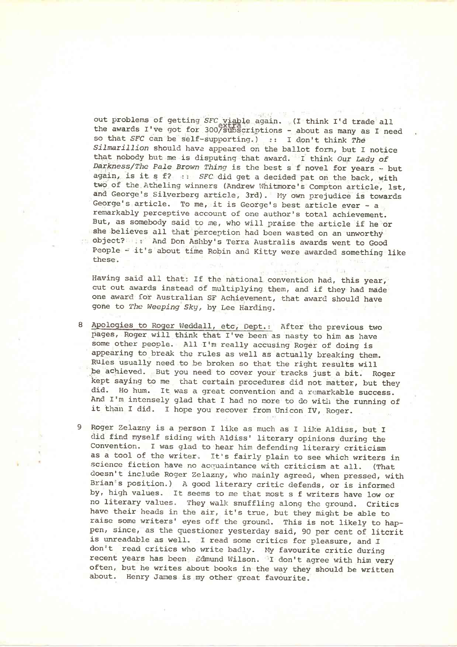out problems of getting *SFC* viable again. (I think I'd trade all the awards I've got for 300/subscriptions - about as many as I need so that *SFC* can be self-supporting.) :: I don't think *The Silmarillion* should have appeared on the ballot form, but I notice that nobody but me is disputing that award. <sup>I</sup> think *Our Lady of Darkness/The Pale Brown Thing* is the best s f novel for years - but again, is it s f? :: *SFC* did get a decided pat on the back, with two of the Atheling winners (Andrew Whitmore's Compton article, 1st, and George's Silverberg article, 3rd). My own prejudice is towards George's article. To me, it is George's best article ever - a remarkably perceptive account of one author's total achievement. But, as somebody said to me, who will praise the article if he or she believes all that perception had been wasted on an unworthy object? And Don Ashby's Terra Australis awards went to Good People - it's about time Robin and Kitty were awarded something like these.

Having said all that: If the national convention had, this year, cut out awards instead of multiplying them, and if they had made one award for Australian SF Achievement, that award should have gone to *The Weeping Sky,* by Lee Harding.

- 8 Apologies to Roger Weddall, etc, Dept.: After the previous two pages, Roger will think that I've been as nasty to him as have some other people. All I'm really accusing Roger of doing is appearing to break the rules as well as actually breaking them. Rules usually need to be broken so that the right results will be achieved. But you need to cover your tracks just a bit. Roger kept saying to me that certain procedures did not matter, but they did. Ho hum. It was a great convention and a remarkable success. And I'm intensely glad that I had no more to do with the running of it than I did. I hope you recover from Unicon IV, Roger.
- 9 Roger Zelazny is a person I like as much as I like Aldiss, but I did find myself siding with Aldiss' literary opinions during the Convention. I was glad to hear him defending literary criticism as a tool of the writer. It's fairly plain to see which writers in science fiction have no acquaintance with criticism at all. (That doesn't include Roger Zelazny, who mainly agreed, when pressed, with Brian's position.) A good literary critic defends, or is informed by, high values. It seems to me that most s f writers have low or no literary values. They walk snuffling along the ground. Critics have their heads in the air, it's true, but they might be able to raise some writers' eyes off the ground. This is not likely to happen, since, as the questioner yesterday said, 90 per cent of litcrit is unreadable as well. I read some critics for pleasure, and I don't read critics who write badly. My favourite critic during recent years has been Edmund Wilson. I don't agree with him very often, but he writes about books in the way they should be written about. Henry James is my other great favourite.